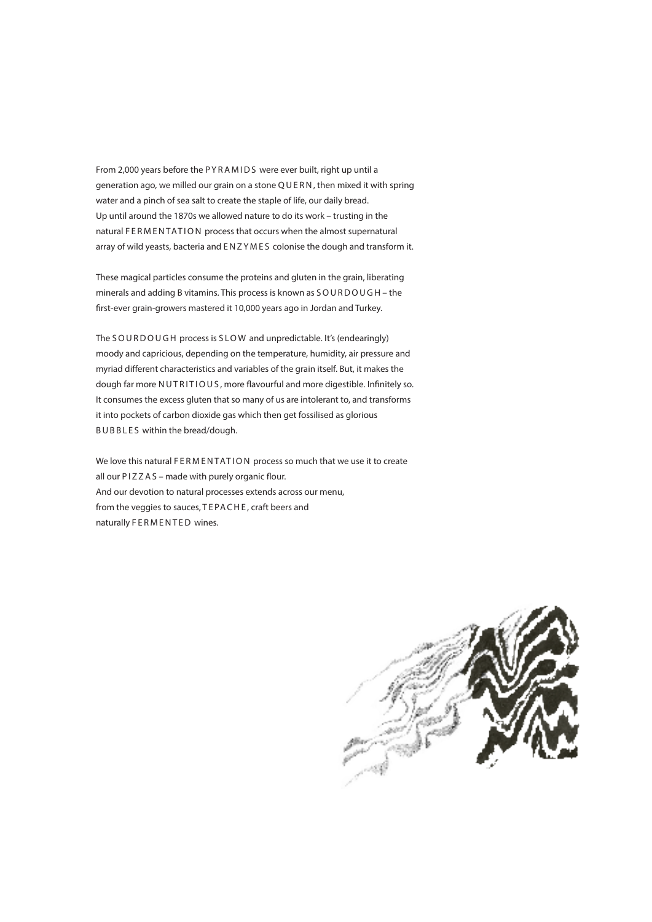From 2,000 years before the PYRAMIDS were ever built, right up until a generation ago, we milled our grain on a stone Q U E R N , then mixed it with spring water and a pinch of sea salt to create the staple of life, our daily bread. Up until around the 1870s we allowed nature to do its work – trusting in the natural FERMENTATION process that occurs when the almost supernatural array of wild yeasts, bacteria and E N Z Y M E S colonise the dough and transform it.

These magical particles consume the proteins and gluten in the grain, liberating minerals and adding B vitamins. This process is known as SOURDOUGH - the first-ever grain-growers mastered it 10,000 years ago in Jordan and Turkey.

The SOURDOUGH process is SLOW and unpredictable. It's (endearingly) moody and capricious, depending on the temperature, humidity, air pressure and myriad different characteristics and variables of the grain itself. But, it makes the dough far more NUTRITIOUS, more flavourful and more digestible. Infinitely so. It consumes the excess gluten that so many of us are intolerant to, and transforms it into pockets of carbon dioxide gas which then get fossilised as glorious B U B B L E S within the bread/dough.

We love this natural FERMENTATION process so much that we use it to create all our P I Z Z A S – made with purely organic flour. And our devotion to natural processes extends across our menu, from the veggies to sauces, TEPACHE, craft beers and naturally FERMENTED wines.

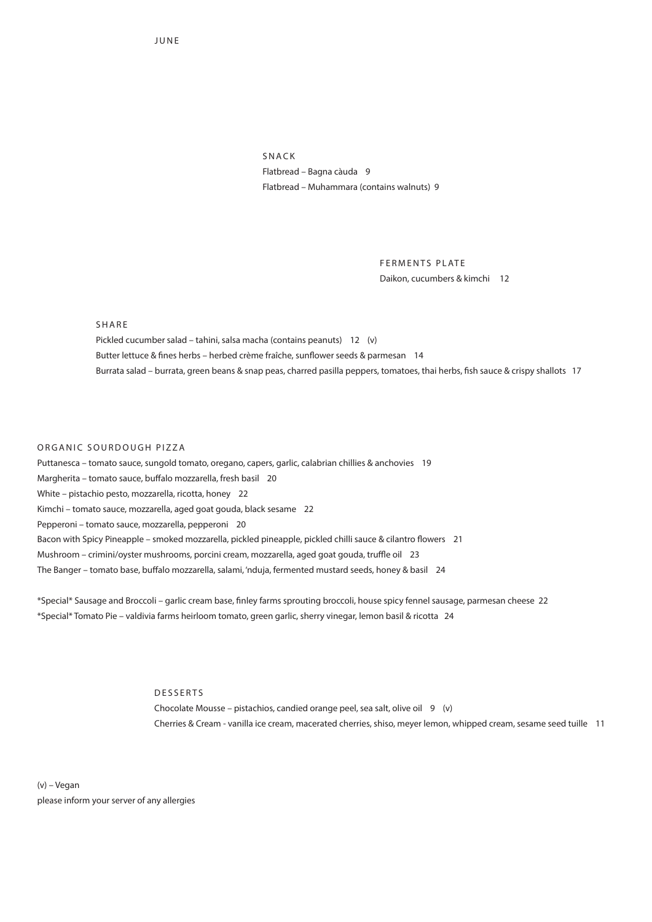JUNE

SNACK Flatbread – Bagna càuda 9 Flatbread – Muhammara (contains walnuts) 9

> FERMENTS PLATE Daikon, cucumbers & kimchi 12

SHARE

Pickled cucumber salad – tahini, salsa macha (contains peanuts) 12 (v) Butter lettuce & fines herbs – herbed crème fraîche, sunflower seeds & parmesan 14 Burrata salad – burrata, green beans & snap peas, charred pasilla peppers, tomatoes, thai herbs, fish sauce & crispy shallots 17

#### ORGANIC SOURDOUGH PIZZA

Puttanesca – tomato sauce, sungold tomato, oregano, capers, garlic, calabrian chillies & anchovies 19 Margherita – tomato sauce, buffalo mozzarella, fresh basil 20 White – pistachio pesto, mozzarella, ricotta, honey 22 Kimchi – tomato sauce, mozzarella, aged goat gouda, black sesame 22 Pepperoni – tomato sauce, mozzarella, pepperoni 20 Bacon with Spicy Pineapple – smoked mozzarella, pickled pineapple, pickled chilli sauce & cilantro flowers 21 Mushroom – crimini/oyster mushrooms, porcini cream, mozzarella, aged goat gouda, truffle oil 23 The Banger – tomato base, buffalo mozzarella, salami, 'nduja, fermented mustard seeds, honey & basil 24

\*Special\* Sausage and Broccoli – garlic cream base, finley farms sprouting broccoli, house spicy fennel sausage, parmesan cheese 22 \*Special\* Tomato Pie – valdivia farms heirloom tomato, green garlic, sherry vinegar, lemon basil & ricotta 24

## DESSERTS

Chocolate Mousse – pistachios, candied orange peel, sea salt, olive oil 9 (v) Cherries & Cream - vanilla ice cream, macerated cherries, shiso, meyer lemon, whipped cream, sesame seed tuille 11

(v) – Vegan please inform your server of any allergies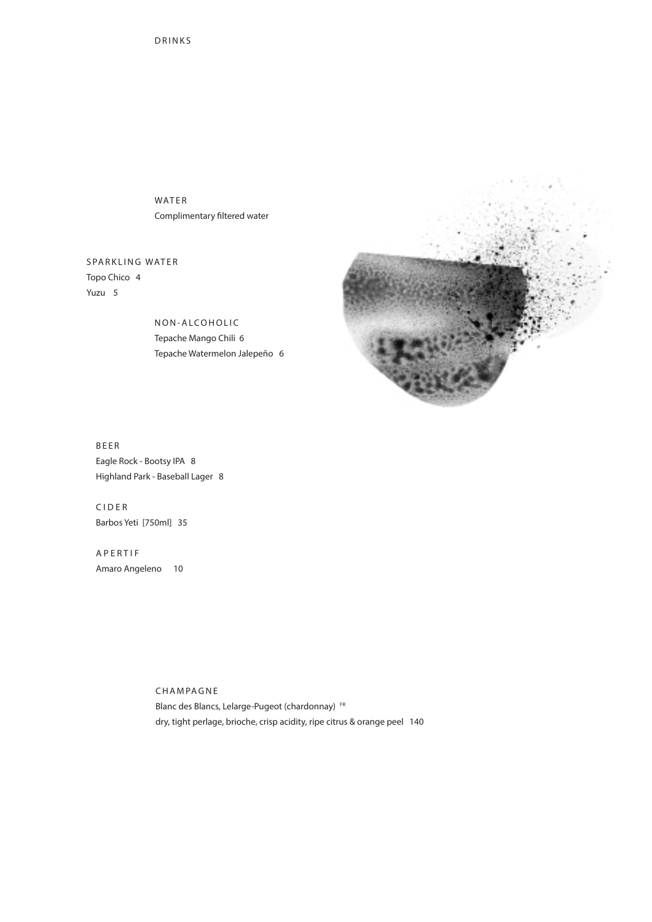WATER Complimentary filtered water

SPARKLING WATER Topo Chico 4 Yuzu 5

> NON-ALCOHOLIC Tepache Mango Chili 6 Tepache Watermelon Jalepeño 6



BEER Eagle Rock - Bootsy IPA 8 Highland Park - Baseball Lager 8

C I D E R Barbos Yeti [750ml] 35

A P E R T I F Amaro Angeleno 10

> CHAMPAGNE Blanc des Blancs, Lelarge-Pugeot (chardonnay) FR dry, tight perlage, brioche, crisp acidity, ripe citrus & orange peel 140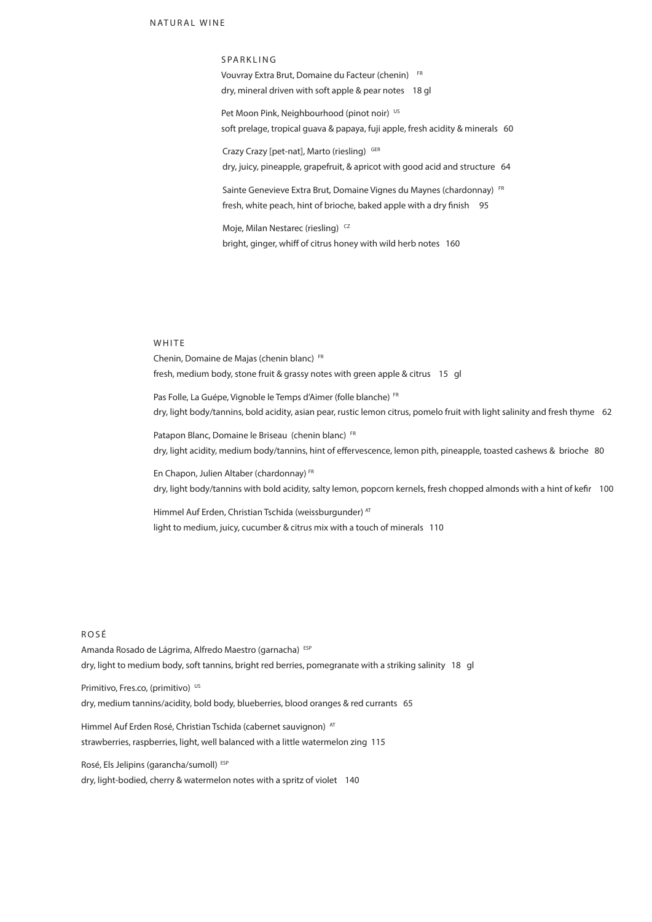SPARKLING Vouvray Extra Brut, Domaine du Facteur (chenin) FR dry, mineral driven with soft apple & pear notes 18 gl

Pet Moon Pink, Neighbourhood (pinot noir) US soft prelage, tropical guava & papaya, fuji apple, fresh acidity & minerals 60

Crazy Crazy [pet-nat], Marto (riesling) GER dry, juicy, pineapple, grapefruit, & apricot with good acid and structure 64

Sainte Genevieve Extra Brut, Domaine Vignes du Maynes (chardonnay) FR fresh, white peach, hint of brioche, baked apple with a dry finish 95

Moje, Milan Nestarec (riesling)<sup>CZ</sup> bright, ginger, whiff of citrus honey with wild herb notes 160

# **WHITE**

Chenin, Domaine de Majas (chenin blanc) FR fresh, medium body, stone fruit & grassy notes with green apple & citrus 15 gl

Pas Folle, La Guépe, Vignoble le Temps d'Aimer (folle blanche) FR dry, light body/tannins, bold acidity, asian pear, rustic lemon citrus, pomelo fruit with light salinity and fresh thyme 62

Patapon Blanc, Domaine le Briseau (chenin blanc) FR dry, light acidity, medium body/tannins, hint of effervescence, lemon pith, pineapple, toasted cashews & brioche 80

En Chapon, Julien Altaber (chardonnay) FR dry, light body/tannins with bold acidity, salty lemon, popcorn kernels, fresh chopped almonds with a hint of kefir 100

Himmel Auf Erden, Christian Tschida (weissburgunder) AT light to medium, juicy, cucumber & citrus mix with a touch of minerals 110

## R O S É

Amanda Rosado de Lágrima, Alfredo Maestro (garnacha) ESP dry, light to medium body, soft tannins, bright red berries, pomegranate with a striking salinity 18 gl

Primitivo, Fres.co, (primitivo) US

dry, medium tannins/acidity, bold body, blueberries, blood oranges & red currants 65

Himmel Auf Erden Rosé, Christian Tschida (cabernet sauvignon) AT strawberries, raspberries, light, well balanced with a little watermelon zing 115

Rosé, Els Jelipins (garancha/sumoll) ESP dry, light-bodied, cherry & watermelon notes with a spritz of violet 140